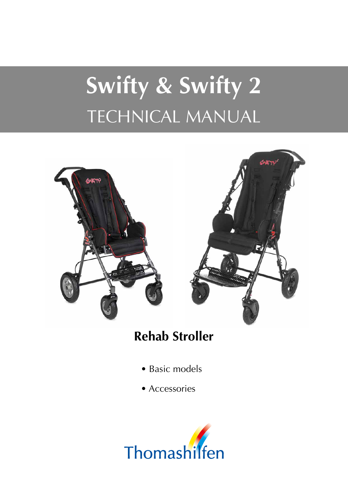# **Swifty & Swifty 2** TECHNICAL MANUAL



#### **Rehab Stroller**

- Basic models
- Accessories

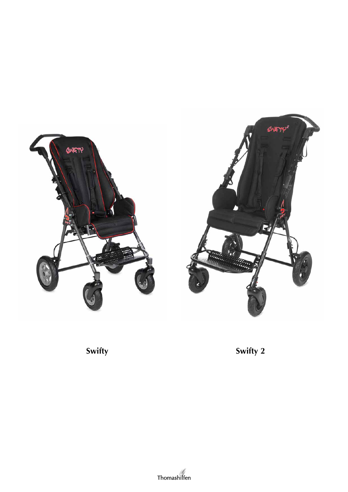



**Swifty Swifty 2**

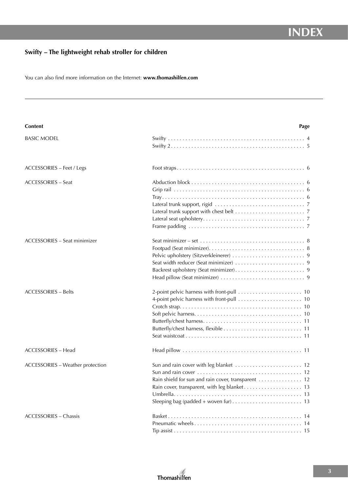#### **Swifty – The lightweight rehab stroller for children**

You can also find more information on the Internet: **www.thomashilfen.com**

| <b>Content</b>                          | Page                                                                                                                                                |
|-----------------------------------------|-----------------------------------------------------------------------------------------------------------------------------------------------------|
| <b>BASIC MODEL</b>                      |                                                                                                                                                     |
| <b>ACCESSORIES - Feet / Legs</b>        |                                                                                                                                                     |
| <b>ACCESSORIES - Seat</b>               | Frame padding $\ldots \ldots \ldots \ldots \ldots \ldots \ldots \ldots \ldots \ldots \ldots \ldots$                                                 |
| <b>ACCESSORIES - Seat minimizer</b>     | Seat minimizer – set $\dots\dots\dots\dots\dots\dots\dots\dots\dots\dots\dots\dots$ 8                                                               |
| <b>ACCESSORIES - Belts</b>              |                                                                                                                                                     |
| <b>ACCESSORIES - Head</b>               |                                                                                                                                                     |
| <b>ACCESSORIES - Weather protection</b> | Rain shield for sun and rain cover, transparent  12<br>Sleeping bag (padded + woven fur) $\dots \dots \dots \dots \dots \dots \dots \dots \dots$ 13 |
| <b>ACCESSORIES - Chassis</b>            |                                                                                                                                                     |

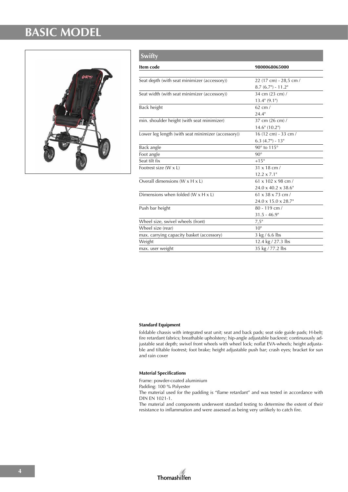#### **BASIC MODEL**



| <b>Swifty</b>                                      |                                  |
|----------------------------------------------------|----------------------------------|
| Item code                                          | 9800068065000                    |
|                                                    |                                  |
| Seat depth (with seat minimizer (accessory))       | 22 (17 cm) - 28,5 cm /           |
|                                                    | $8.7(6.7") - 11.2"$              |
| Seat width (with seat minimizer (accessory))       | 34 cm (23 cm) /                  |
|                                                    | $13.4$ " $(9.1)$ "               |
| Back height                                        | $62$ cm $/$                      |
|                                                    | 24.4"                            |
| min. shoulder height (with seat minimizer)         | 37 cm (26 cm) /                  |
|                                                    | $14.6$ " (10.2")                 |
| Lower leg length (with seat minimizer (accessory)) | 16 (12 cm) - 33 cm /             |
|                                                    | $6.3$ $(4.7")$ - $13"$           |
| Back angle                                         | 90° to 115°                      |
| Foot angle                                         | $90^\circ$                       |
| Seat tilt fix                                      | $+15^\circ$                      |
| Footrest size (W x L)                              | 31 x 18 cm /                     |
|                                                    | $12.2 \times 7.1$ "              |
| Overall dimensions ( $W \times H \times L$ )       | $61 \times 102 \times 98$ cm /   |
|                                                    | $24.0 \times 40.2 \times 38.6$ " |
| Dimensions when folded ( $W \times H \times L$ )   | $61 \times 38 \times 73$ cm /    |
|                                                    | 24.0 x 15.0 x 28.7"              |
| Push bar height                                    | $80 - 119$ cm /                  |
|                                                    | $31.5 - 46.9$ "                  |
| Wheel size, swivel wheels (front)                  | 7,5"                             |
| Wheel size (rear)                                  | 10 <sup>11</sup>                 |
| max. carrying capacity basket (accessory)          | 3 kg / 6.6 lbs                   |
| Weight                                             | 12.4 kg / 27.3 lbs               |
| max. user weight                                   | 35 kg / 77.2 lbs                 |

#### **Standard Equipment**

foldable chassis with integrated seat unit; seat and back pads; seat side guide pads; H-belt; fire retardant fabrics; breathable upholstery; hip-angle adjustable backrest; continuously adjustable seat depth; swivel front wheels with wheel lock; noflat EVA-wheels; height adjustable and tiltable footrest; foot brake; height adjustable push bar; crash eyes; bracket for sun and rain cover

#### **Material Specifications**

Frame: powder-coated aluminium

Padding: 100 % Polyester

The material used for the padding is "flame retardant" and was tested in accordance with DIN EN 1021-1.

The material and components underwent standard testing to determine the extent of their resistance to inflammation and were assessed as being very unlikely to catch fire.

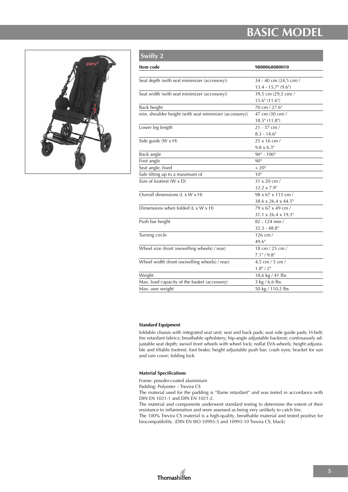#### **BASIC MODEL**



| <b>Swifty 2</b>                                        |                                  |
|--------------------------------------------------------|----------------------------------|
| Item code                                              | 9800068080010                    |
|                                                        |                                  |
| Seat depth (with seat minimizer (accessory))           | 34 - 40 cm (24,5 cm) /           |
|                                                        | $13.4 - 15.7$ " (9.6")           |
| Seat width (with seat minimizer (accessory))           | 39,5 cm (29,5 cm) /              |
|                                                        | $15.6$ " (11.6")                 |
| <b>Back height</b>                                     | 70 cm / 27.6"                    |
| min. shoulder height (with seat minimizer (accessory)) | 47 cm (30 cm) /                  |
|                                                        | $18.5$ " (11.8")                 |
| Lower leg length                                       | 21 - 37 cm /                     |
|                                                        | $8.3 - 14.6$ "                   |
| Side guide (W x H)                                     | 25 x 16 cm /                     |
|                                                        | $9.8 \times 6.3$ "               |
| Back angle                                             | $90^\circ$ - $100^\circ$         |
| Foot angle                                             | $90^\circ$                       |
| Seat angle, fixed                                      | $+$ $20^{\circ}$                 |
| Safe tilting up to a maximum of                        | $10^{\circ}$                     |
| Size of footrest (W x D)                               | $31 \times 20$ cm /              |
|                                                        | $12.2 \times 7.9$ "              |
| Overall dimensions (L x W x H)                         | 98 x 67 x 113 cm /               |
|                                                        | 38.6 x 26.4 x 44.5"              |
| Dimensions when folded (L x W x H)                     | 79 x 67 x 49 cm /                |
|                                                        | $31.1 \times 26.4 \times 19.3$ " |
| Push bar height                                        | 82 - 124 mm /                    |
|                                                        | $32.3 - 48.8$ "                  |
| Turning circle                                         | $126$ cm $/$                     |
|                                                        | 49.6"                            |
| Wheel size (front (swivelling wheels) / rear)          | 18 cm / 25 cm /                  |
|                                                        | $7.1$ " / $9.8$ "                |
| Wheel width (front (swivelling wheels) / rear)         | 4,5 cm / 5 cm /                  |
|                                                        | 1.8" / 2"                        |
| Weight                                                 | 18,6 kg / 41 lbs                 |
| Max. load capacity of the basket (accessory)           | 3 kg / 6.6 lbs                   |
| Max. user weight                                       | 50 kg / 110.2 lbs                |
|                                                        |                                  |

#### **Standard Equipment**

foldable chassis with integrated seat unit; seat and back pads; seat side guide pads; H-belt; fire retardant fabrics; breathable upholstery; hip-angle adjustable backrest; continuously adjustable seat depth; swivel front wheels with wheel lock; noflat EVA-wheels; height adjustable and tiltable footrest; foot brake; height adjustable push bar; crash eyes; bracket for sun and rain cover; folding lock

#### **Material Specifications**

Frame: powder-coated aluminium

Padding: Polyester – Trevira CS The material used for the padding is "flame retardant" and was tested in accordance with DIN EN 1021-1 and DIN EN 1021-2.

The material and components underwent standard testing to determine the extent of their resistance to inflammation and were assessed as being very unlikely to catch fire.

The 100% Trevira CS material is a high-quality, breathable material and tested positive for biocompatibility. (DIN EN ISO 10993-5 and 10993-10 Trevira CS, black)

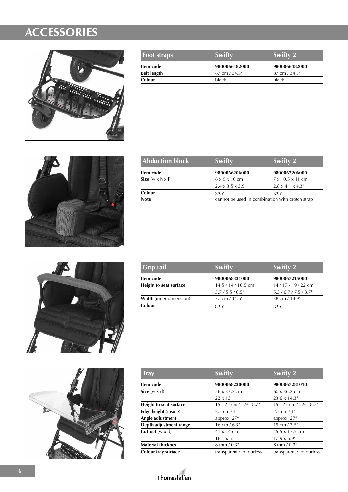

| <b>Foot straps</b> | Swifty                   | <b>Swifty 2</b>          |
|--------------------|--------------------------|--------------------------|
| Item code          | 9800066482000            | 9800066482000            |
| <b>Belt length</b> | $87 \text{ cm} / 34.3$ " | $87 \text{ cm} / 34.3$ " |
| Colour             | <b>black</b>             | black                    |



| <b>Swifty</b>                                   | Swifty 2                      |
|-------------------------------------------------|-------------------------------|
| 9800066206000                                   | 9800067206000                 |
| $6 \times 9 \times 10$ cm                       | $7 \times 10.5 \times 11$ cm  |
| $2.4 \times 3.5 \times 3.9$ "                   | $2.8 \times 4.1 \times 4.3$ " |
| grey                                            | grey                          |
| cannot be used in combination with crotch strap |                               |
|                                                 |                               |





| <b>Grip rail</b>               | <b>Swifty</b>            | Swifty 2            |
|--------------------------------|--------------------------|---------------------|
| Item code                      | 9800068331000            | 9800067215000       |
| Height to seat surface         | 14,5 / 14 / 16,5 cm      | 14/17/19/22 cm      |
|                                | $5.7/5.5/6.5$ "          | $5.5/6.7/7.5/8.7$ " |
| <b>Width</b> (inner dimension) | $37 \text{ cm} / 14.6$ " | 38 cm / 14.9"       |
| Colour                         | grey                     | grey                |

| <b>Tray</b>                     | <b>Swifty</b>                | Swifty 2                     |
|---------------------------------|------------------------------|------------------------------|
| Item code                       | 9800068220000                | 9800067281010                |
| Size $(w \times d)$             | 56 x 33,2 cm                 | 60 x 36,2 cm                 |
|                                 | $22 \times 13"$              | $23.6 \times 14.3$ "         |
| Height to seat surface          | $15 - 22$ cm $/ 5.9 - 8.7$ " | $15 - 22$ cm $/ 5.9 - 8.7$ " |
| Edge height (inside)            | $2.5$ cm $/1"$               | $2,5$ cm $/1"$               |
| Angle adjustment                | approx. $27^\circ$           | approx. $27^\circ$           |
| Depth adjustment range          | $16 \text{ cm} / 6.3$ "      | $19 \text{ cm} / 7.5$ "      |
| <b>Cut-out</b> ( $w \times d$ ) | 41 x 14 cm                   | 45,5 x 17,5 cm               |
|                                 | $16.1 \times 5.5$ "          | $17.9 \times 6.9$ "          |
| <b>Material thicknes</b>        | $8 \text{ mm} / 0.3$ "       | $8 \text{ mm} / 0.3$ "       |
| Colour tray surface             | transparent / colourless     | transparent / colourless     |

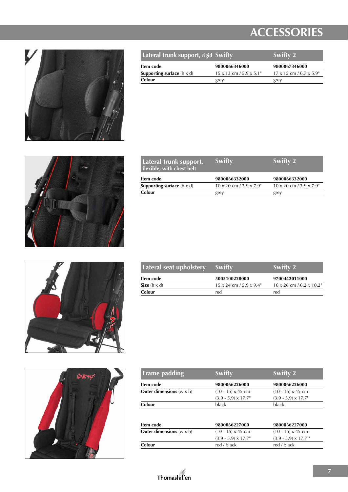

| Lateral trunk support, rigid Swifty        |                                        | <b>Swifty 2</b>                       |
|--------------------------------------------|----------------------------------------|---------------------------------------|
| Item code                                  | 9800066346000                          | 9800067346000                         |
| <b>Supporting surface</b> ( $h \times d$ ) | $15 \times 13$ cm $/ 5.9 \times 5.1$ " | $17 \times 15$ cm / 6.7 $\times$ 5.9" |
| Colour                                     | grey                                   | grey                                  |



| Lateral trunk support,<br>flexible, with chest belt | <b>Swifty</b>                          | Swifty 2                               |
|-----------------------------------------------------|----------------------------------------|----------------------------------------|
| Item code                                           | 9800066332000                          | 9800066332000                          |
| <b>Supporting surface</b> $(h \times d)$            | $10 \times 20$ cm $/ 3.9 \times 7.9$ " | $10 \times 20$ cm $/ 3.9 \times 7.9$ " |
| Colour                                              | grey                                   | grey                                   |





| Lateral seat upholstery | Swifty                                 | Swifty 2                               |
|-------------------------|----------------------------------------|----------------------------------------|
| Item code               | 5005100228000                          | 9700442011000                          |
| Size $(h \times d)$     | $15 \times 24$ cm $/ 5.9 \times 9.4$ " | $16 \times 26$ cm / 6.2 $\times$ 10.2" |
| Colour                  | red                                    | red                                    |

| <b>Frame padding</b>                     | <b>Swifty</b>               | <b>Swifty 2</b>             |
|------------------------------------------|-----------------------------|-----------------------------|
| Item code                                | 9800066226000               | 9800066226000               |
| <b>Outer dimensions</b> $(w \times h)$   | $(10 - 15) \times 45$ cm    | $(10 - 15) \times 45$ cm    |
|                                          | $(3.9 - 5.9) \times 17.7$ " | $(3.9 - 5.9) \times 17.7$ " |
| Colour                                   | black                       | black                       |
|                                          |                             |                             |
| Item code                                | 9800066227000               | 9800066227000               |
| <b>Outer dimensions</b> ( $w \times h$ ) | $(10 - 15) \times 45$ cm    | $(10 - 15) \times 45$ cm    |
|                                          | $(3.9 - 5.9) \times 17.7$ " | $(3.9 - 5.9) \times 17.7$ " |
| Colour                                   | red / black                 | red / black                 |

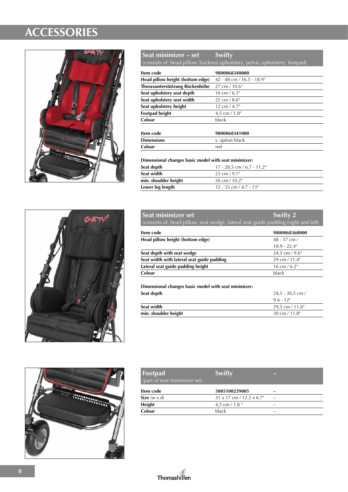

#### **Seat minimizer – set Swifty**

(consists of: head pillow, backrest upholstery, pelvic upholstery, footpad)

| Item code                        | 9800068340000             |
|----------------------------------|---------------------------|
| Head pillow height (bottom edge) | 42 - 48 cm / 16.5 - 18.9" |
| Thoraxunterstützung Rückenhöhe   | $27 \text{ cm} / 10.6$ "  |
| Seat upholstery seat depth       | $16 \text{ cm} / 6.3$ "   |
| Seat upholstery seat width       | 22 cm $/$ 8.6"            |
| Seat upholstery height           | $12 \text{ cm} / 4.7$ "   |
| <b>Footpad height</b>            | 4,5 cm $/ 1.8$ "          |
| Colour                           | black                     |
|                                  |                           |

| Item code         | 9800068341000   |
|-------------------|-----------------|
| <b>Dimensions</b> | s. option black |
| Colour            | red             |

**Dimensional changes basic model with seat minimizer:**

| Seat depth           | $17 - 28.5$ cm / 6.7 - 11.2" |
|----------------------|------------------------------|
| Seat width           | 23 cm $/9.1$ "               |
| min. shoulder height | $26 \text{ cm} / 10.2$ "     |
| Lower leg length     | $12 - 33$ cm $/ 4.7 - 13$ "  |





| <b>Seat minimizer set</b><br>(consists of: head pillow, seat wedge, lateral seat guide padding (right and left) | Swifty 2                |
|-----------------------------------------------------------------------------------------------------------------|-------------------------|
| Item code                                                                                                       | 9800068360000           |
| Head pillow height (bottom edge)                                                                                | $48 - 57$ cm $/$        |
|                                                                                                                 | $18.9 - 22.4$ "         |
| Seat depth with seat wedge                                                                                      | 24,5 cm $/$ 9.6"        |
| Seat width with lateral seat guide padding                                                                      | 29 cm / 11.4"           |
| Lateral seat guide padding height                                                                               | $16 \text{ cm} / 6.2$ " |

**Dimensional changes basic model with seat minimizer:**

**Colour** black

| Seat depth           | $24.5 - 30.5$ cm /       |
|----------------------|--------------------------|
|                      | $9.6 - 12$               |
| Seat width           | 29.5 cm $/$ 11.6"        |
| min. shoulder height | $30 \text{ cm} / 11.8$ " |

| Footpad<br>(part of seat minimizer set)             | Swifty                |  |
|-----------------------------------------------------|-----------------------|--|
| Item code                                           | 5005100239005         |  |
| $\mathbf{C}$ $\mathbf{C}$ $\mathbf{C}$ $\mathbf{D}$ | $24 - 47$ $1422 - 67$ |  |

| Item code           | 5005100239005                          | -                        |
|---------------------|----------------------------------------|--------------------------|
| Size $(w \times d)$ | $31 \times 17$ cm / 12.2 $\times$ 6.7" |                          |
| <b>Height</b>       | 4.5 cm / $1.8$ "                       | -                        |
| Colour              | black                                  | $\overline{\phantom{a}}$ |

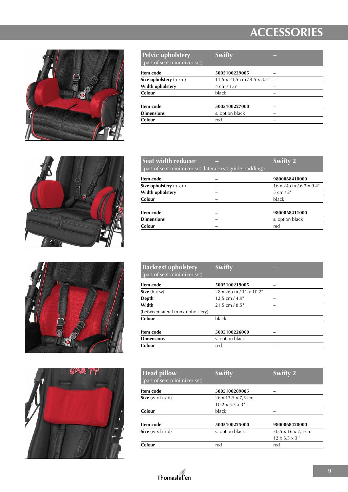

| <b>Pelvic upholstery</b><br>(part of seat minimizer set) | <b>Swifty</b>                               |  |
|----------------------------------------------------------|---------------------------------------------|--|
| Item code                                                | 5005100229005                               |  |
| Size upholstery $(h \times d)$                           | $11.5 \times 21.5$ cm / 4.5 $\times$ 8.5" - |  |
| Width upholstery                                         | $4 \text{ cm} / 1.6$ "                      |  |
| Colour                                                   | black                                       |  |
| Item code                                                | 5005100227000                               |  |
| <b>Dimensions</b>                                        | s. option black                             |  |
| Colour                                                   | red                                         |  |







| Swifty $2^{\prime}$                                       |
|-----------------------------------------------------------|
| 9800068410000                                             |
| $16 \times 24$ cm / 6.3 $\times$ 9.4"                     |
| 5 cm $/2"$                                                |
| black                                                     |
| 9800068411000                                             |
| s. option black                                           |
| red                                                       |
| (part of seat minimizer set (lateral seat guide padding)) |

| <b>Backrest upholstery</b><br>(part of seat minimizer set) | <b>Swifty</b>           |   |
|------------------------------------------------------------|-------------------------|---|
| Item code                                                  | 5005100219005           |   |
| Size $(h \times w)$                                        | 28 x 26 cm / 11 x 10.2" |   |
| Depth                                                      | 12,5 cm $/$ 4.9"        | - |
| Width                                                      | $21.5$ cm $/ 8.5$ "     |   |
| (between lateral trunk upholstery)                         |                         |   |
| Colour                                                     | black                   |   |
| Item code                                                  | 5005100226000           |   |
| <b>Dimensions</b>                                          | s. option black         |   |
| Colour                                                     | red                     |   |

| <b>Head pillow</b><br>(part of seat minimizer set) | <b>Swifty</b>                  | <b>Swifty 2</b>            |
|----------------------------------------------------|--------------------------------|----------------------------|
| Item code                                          | 5005100209005                  |                            |
| Size $(w \times h \times d)$                       | $26 \times 13,5 \times 7,5$ cm |                            |
|                                                    | $10.2 \times 5.3 \times 3$ "   |                            |
| Colour                                             | black                          |                            |
| Item code                                          | 5005100225000                  | 9800068420000              |
| Size $(w \times h \times d)$                       | s. option black                | 30,5 x 16 x 7,5 cm         |
|                                                    |                                | $12 \times 6.3 \times 3$ " |
| Colour                                             | red                            | red                        |

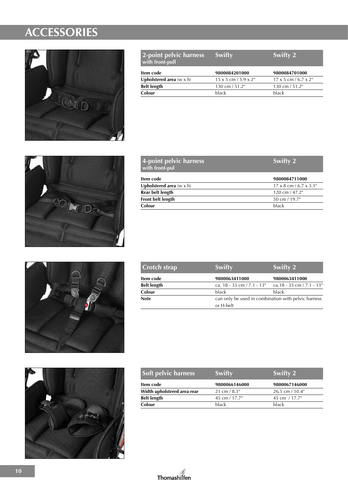

| 2-point pelvic harness<br>with front-pull | <b>Swifty</b>                       | Swifty 2                           |
|-------------------------------------------|-------------------------------------|------------------------------------|
| Item code                                 | 9800084201000                       | 9800084701000                      |
| <b>Upholstered area</b> $(w \times h)$    | $15 \times 5$ cm $/ 5.9 \times 2$ " | $17 \times 5$ cm / 6.7 $\times$ 2" |
| <b>Belt length</b>                        | 130 cm / 51.2"                      | 130 cm $/51.2$ "                   |
| Colour                                    | black                               | black                              |



| Swifty 2                             |
|--------------------------------------|
| 9800084711000                        |
| $17 \times 8$ cm / 6.7 $\times$ 3.1" |
| $120 \text{ cm} / 47.2$ "            |
| 50 cm / 19.7"                        |
| black                                |
|                                      |





| <b>Crotch strap</b> | Swifty                          | Swifty 2                                            |  |
|---------------------|---------------------------------|-----------------------------------------------------|--|
| Item code           | 9800063411000                   | 9800063411000                                       |  |
| <b>Belt length</b>  | ca. $18 - 33$ cm $/ 7.1 - 13$ " | ca.18 - 33 cm / 7.1 - 13"                           |  |
| Colour              | black                           | black                                               |  |
| <b>Note</b>         |                                 | can only be used in combination with pelvic harness |  |
|                     | or H-belt                       |                                                     |  |

| <b>Soft pelvic harness</b>  | <b>Swifty</b>           | <b>Swifty 2</b>      |
|-----------------------------|-------------------------|----------------------|
| Item code                   | 9800066146000           | 9800067146000        |
| Width upholstered area rear | $21 \text{ cm} / 8.3$ " | $26.5$ cm $/ 10.4$ " |
| <b>Belt length</b>          | 45 cm / 17.7"           | 45 cm / 17.7"        |
| Colour                      | black                   | black                |

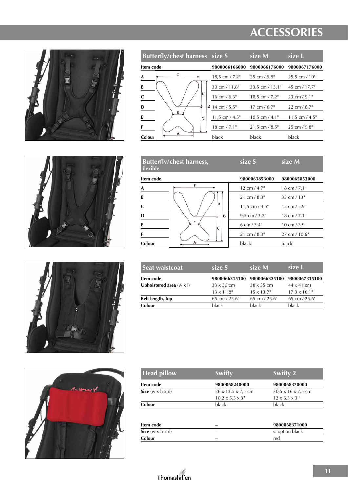

| <b>Butterfly/chest harness size S</b> |                         | size M                  | size L                  |
|---------------------------------------|-------------------------|-------------------------|-------------------------|
| Item code                             | 9800066166000           | 9800066176000           | 9800067176000           |
| F<br>A                                | 18,5 cm $/ 7.2$ "       | $25 \text{ cm} / 9.8$ " | $25.5$ cm $/ 10$ "      |
| B                                     | 30 cm / 11.8"           | $33.5$ cm $/13.1$ "     | 45 cm $/$ 17.7"         |
| lħ.                                   | $16 \text{ cm} / 6.3$ " | $18.5$ cm $/ 7.2$ "     | $23 \text{ cm} / 9.1$ " |
| В<br>D                                | 14 cm $/ 5.5$ "         | $17 \text{ cm} / 6.7$ " | $22 \text{ cm} / 8.7$ " |
| Ε<br>E<br>C                           | 11,5 cm $/$ 4.5"        | $10.5$ cm $/4.1$ "      | 11,5 cm $/$ 4.5"        |
| F                                     | $18 \text{ cm} / 7.1$ " | $21.5$ cm $/ 8.5$ "     | $25 \text{ cm} / 9.8$ " |
| А<br>Colour                           | black                   | black                   | black                   |
|                                       |                         |                         |                         |







| flexible  | <b>Butterfly/chest harness,</b> | size S                  | size M                   |
|-----------|---------------------------------|-------------------------|--------------------------|
| Item code |                                 | 9800063853000           | 9800065853000            |
| A         | F                               | $12 \text{ cm} / 4.7$ " | $18 \text{ cm} / 7.1$ "  |
| B         |                                 | $21 \text{ cm} / 8.3$ " | 33 cm $/13"$             |
| C         | D                               | 11,5 cm $/$ 4.5"        | $15 \text{ cm} / 5.9$ "  |
| D         | В                               | $9.5$ cm $/3.7$ "       | $18 \text{ cm} / 7.1$ "  |
| E         | Ε<br>۱c                         | 6 cm $/$ 3.4"           | $10 \text{ cm} / 3.9$ "  |
| F         |                                 | $21 \text{ cm} / 8.3$ " | $27 \text{ cm} / 10.6$ " |
| Colour    | A                               | black                   | black                    |
|           |                                 |                         |                          |

| size S             | size M             | size L               |
|--------------------|--------------------|----------------------|
| 9800066315100      | 9800066325100      | 9800067315100        |
| $33 \times 30$ cm  | $38 \times 35$ cm  | $44 \times 41$ cm    |
| $13 \times 11.8$ " | $15 \times 13.7$ " | $17.3 \times 16.1$ " |
| 65 cm $/$ 25.6"    | 65 cm $/$ 25.6"    | 65 cm $/$ 25.6"      |
| black              | black              | black                |
|                    |                    |                      |

| Head pillow                  | <b>Swifty</b>                | Swifty 2                       |
|------------------------------|------------------------------|--------------------------------|
| Item code                    | 9800068240000                | 9800068370000                  |
| Size $(w \times h \times d)$ | 26 x 13,5 x 7,5 cm           | $30.5 \times 16 \times 7.5$ cm |
|                              | $10.2 \times 5.3 \times 3$ " | $12 \times 6.3 \times 3$ "     |
| Colour                       | black                        | black                          |
|                              |                              |                                |
| Item code                    |                              | 9800068371000                  |
| Size $(w \times h \times d)$ |                              | s. option black                |
| Colour                       |                              | red                            |

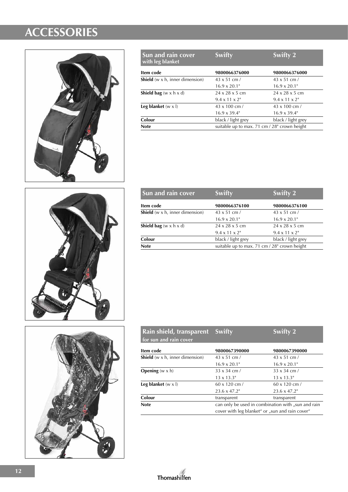

| Sun and rain cover<br>with leg blanket   | <b>Swifty</b>                                | <b>Swifty 2</b>            |
|------------------------------------------|----------------------------------------------|----------------------------|
| Item code                                | 9800066376000                                | 9800066376000              |
| <b>Shield</b> (w $x$ h, inner dimension) | $43 \times 51$ cm /                          | $43 \times 51$ cm /        |
|                                          | $16.9 \times 20.1$ "                         | $16.9 \times 20.1$ "       |
| <b>Shield bag</b> (w x h x d)            | $24 \times 28 \times 5$ cm                   | $24 \times 28 \times 5$ cm |
|                                          | $9.4 \times 11 \times 2$ "                   | $9.4 \times 11 \times 2$ " |
| Leg blanket $(w \times l)$               | $43 \times 100$ cm /                         | $43 \times 100$ cm $/$     |
|                                          | $16.9 \times 39.4$ "                         | $16.9 \times 39.4$ "       |
| Colour                                   | black / light grey                           | black / light grey         |
| <b>Note</b>                              | suitable up to max. 71 cm / 28" crown height |                            |



| Sun and rain cover                       | <b>Swifty</b>                                | Swifty 2                   |
|------------------------------------------|----------------------------------------------|----------------------------|
| Item code                                | 9800066376100                                | 9800066376100              |
| <b>Shield</b> (w $x$ h, inner dimension) | $43 \times 51$ cm /                          | $43 \times 51$ cm /        |
|                                          | $16.9 \times 20.1$ "                         | $16.9 \times 20.1$ "       |
| <b>Shield bag</b> (w x h x d)            | $24 \times 28 \times 5$ cm                   | $24 \times 28 \times 5$ cm |
|                                          | $9.4 \times 11 \times 2$ "                   | $9.4 \times 11 \times 2$ " |
| Colour                                   | black / light grey                           | black / light grey         |
| <b>Note</b>                              | suitable up to max. 71 cm / 28" crown height |                            |

| Rain shield, transparent<br>for sun and rain cover | <b>Swifty</b>                                      | <b>Swifty 2</b>      |
|----------------------------------------------------|----------------------------------------------------|----------------------|
| Item code                                          | 9800067390000                                      | 9800067390000        |
| <b>Shield</b> (w $x$ h, inner dimension)           | $43 \times 51$ cm /                                | $43 \times 51$ cm /  |
|                                                    | $16.9 \times 20.1$ "                               | $16.9 \times 20.1$ " |
| <b>Opening</b> $(w \times h)$                      | $33 \times 34$ cm /                                | $33 \times 34$ cm /  |
|                                                    | $13 \times 13.3$ "                                 | $13 \times 13.3$ "   |
| Leg blanket $(w \times l)$                         | $60 \times 120$ cm /                               | $60 \times 120$ cm / |
|                                                    | $23.6 \times 47.2$ "                               | $23.6 \times 47.2$ " |
| Colour                                             | transparent                                        | transparent          |
| <b>Note</b>                                        | can only be used in combination with "sun and rain |                      |
|                                                    | cover with leg blanket" or "sun and rain cover"    |                      |



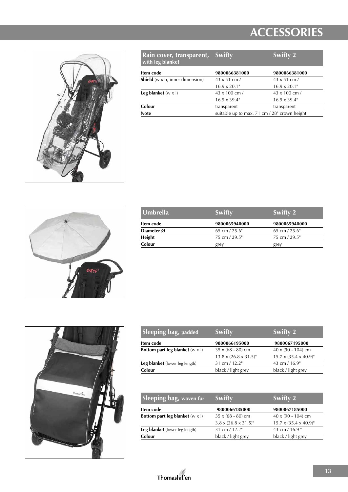

| Rain cover, transparent,<br>with leg blanket    | Swifty                                       | Swifty 2             |
|-------------------------------------------------|----------------------------------------------|----------------------|
| Item code                                       | 9800066381000                                | 9800066381000        |
| <b>Shield</b> ( $w \times h$ , inner dimension) | $43 \times 51$ cm /                          | $43 \times 51$ cm /  |
|                                                 | $16.9 \times 20.1$ "                         | $16.9 \times 20.1$ " |
| Leg blanket $(w \times l)$                      | 43 x 100 cm /                                | $43 \times 100$ cm / |
|                                                 | $16.9 \times 39.4$ "                         | $16.9 \times 39.4$ " |
| Colour                                          | transparent                                  | transparent          |
| <b>Note</b>                                     | suitable up to max. 71 cm / 28" crown height |                      |



| Swifty          | Swifty 2        |
|-----------------|-----------------|
| 9800065940000   | 9800065940000   |
| 65 cm $/$ 25.6" | 65 cm $/$ 25.6" |
| 75 cm / 29.5"   | 75 cm / 29.5"   |
| grey            | grey            |
|                 |                 |



| Sleeping bag, padded                          | Swifty                             | Swifty 2                           |
|-----------------------------------------------|------------------------------------|------------------------------------|
| Item code                                     | 9800066195000                      | 9800067195000                      |
| <b>Bottom part leg blanket</b> $(w \times l)$ | $35 \times (68 - 80)$ cm           | $40 \times (90 - 104)$ cm          |
|                                               | $13.8 \times (26.8 \times 31.5)^n$ | $15.7 \times (35.4 \times 40.9)^n$ |
| Leg blanket (lower leg length)                | 31 cm / 12.2"                      | 43 cm / 16.9"                      |
| Colour                                        | black / light grey                 | black / light grey                 |

| Sleeping bag, woven fur                       | <b>Swifty</b>                       | Swifty 2                           |
|-----------------------------------------------|-------------------------------------|------------------------------------|
| Item code                                     | 9800066185000                       | 9800067185000                      |
| <b>Bottom part leg blanket</b> $(w \times l)$ | $35 \times (68 - 80)$ cm            | $40 \times (90 - 104)$ cm          |
|                                               | $3.8 \times (26.8 \times 31.5)^{n}$ | $15.7 \times (35.4 \times 40.9)^n$ |
| Leg blanket (lower leg length)                | 31 cm / 12.2"                       | 43 cm / 16.9 "                     |
| Colour                                        | black / light grey                  | black / light grey                 |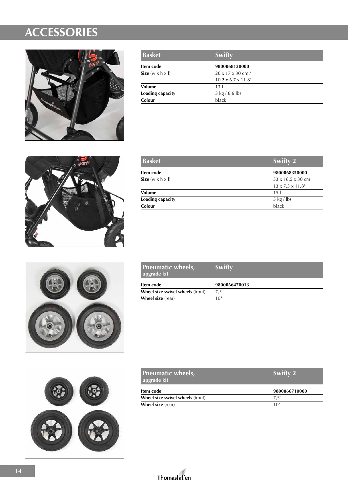

| <b>Basket</b>                | Swifty                          |  |
|------------------------------|---------------------------------|--|
| Item code                    | 9800068130000                   |  |
| Size $(w \times h \times l)$ | $26 \times 17 \times 30$ cm /   |  |
|                              | $10.2 \times 6.7 \times 11.8$ " |  |
| <b>Volume</b>                | 13 <sup>1</sup>                 |  |
| Loading capacity             | 3 kg / 6.6 lbs                  |  |
| Colour                       | black                           |  |



| <b>Basket</b>                | Swifty 2                      |
|------------------------------|-------------------------------|
| Item code                    | 9800068350000                 |
| Size $(w \times h \times l)$ | $33 \times 18.5 \times 30$ cm |
|                              | $13 \times 7.3 \times 11.8$ " |
| <b>Volume</b>                | 15 <sub>1</sub>               |
| Loading capacity             | $3 \text{ kg}$ / lbs          |
| Colour                       | black                         |



| <b>Pneumatic wheels,</b><br>upgrade kit | Swifty        |
|-----------------------------------------|---------------|
| Item code                               | 9800066470013 |
| Wheel size swivel wheels (front)        | 7.5"          |
| <b>Wheel size</b> (rear)                | 10"           |



| <b>Pneumatic wheels,</b><br>upgrade kit | Swifty 2      |  |
|-----------------------------------------|---------------|--|
| Item code                               | 9800066710000 |  |
| Wheel size swivel wheels (front)        | 7.5"          |  |
| <b>Wheel size</b> (rear)                | 10"           |  |

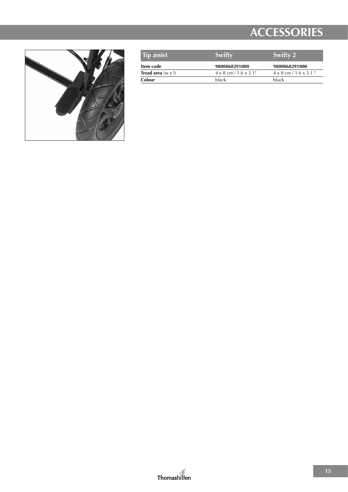

| <b>Tip assist</b>                | Swifty                              | Swifty 2                             |
|----------------------------------|-------------------------------------|--------------------------------------|
| Item code                        | 9800068291000                       | 9800068291000                        |
| <b>Tread area</b> $(w \times l)$ | $4 \times 8$ cm / 1.6 $\times$ 3.1" | $4 \times 8$ cm / 1.6 $\times$ 3.1 " |
| Colour                           | <b>black</b>                        | black                                |